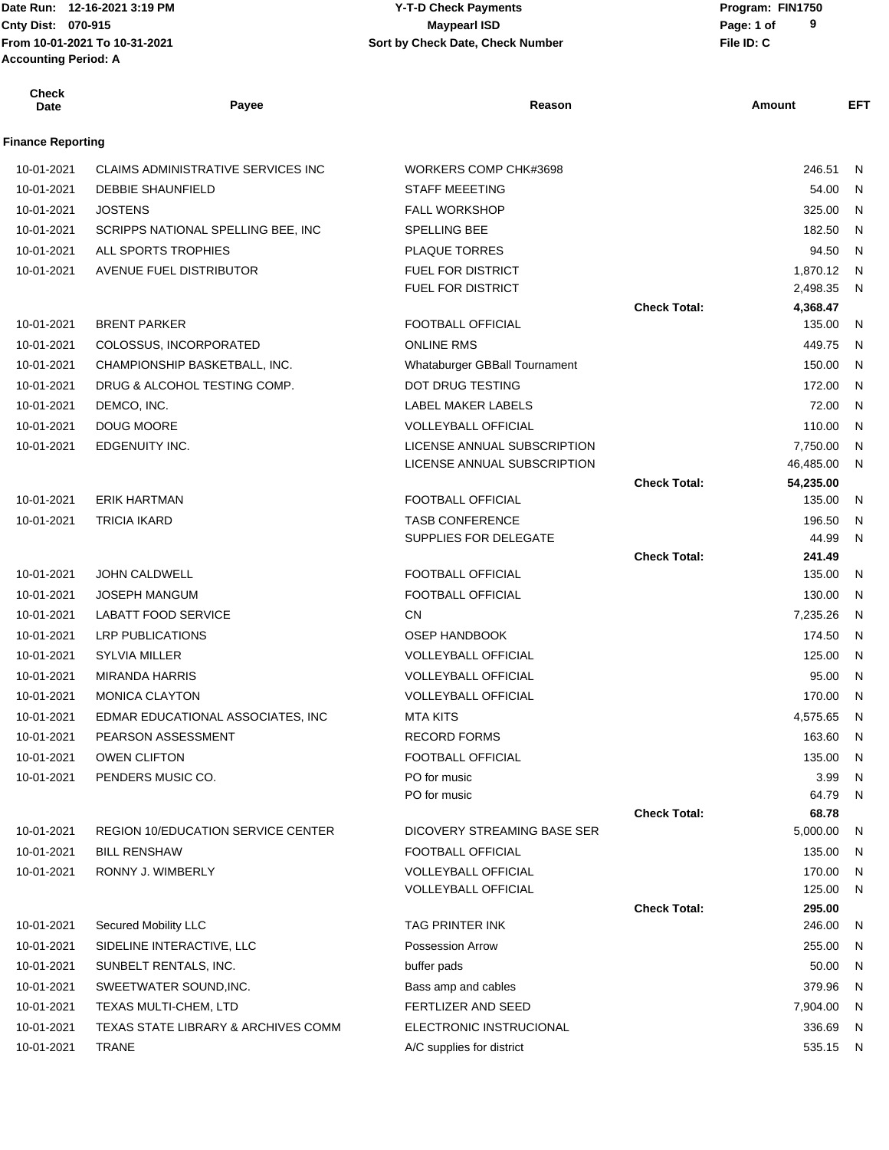Date Run: 12-16-2021 3:19 PM **CONTACT CONSTRESS PARAMETER PROGRAM:** Program: FIN1750 **Accounting Period: A**

# **Cnty Dist:** 070-915 **Page:** 1 of **From 10-01-2021 To 10-31-2021 File ID: C Sort by Check Date, Check Number 12-16-2021 3:19 PM Y-T-D Check Payments 070-915 Maypearl ISD**

| <b>Check</b><br><b>Date</b> | Payee                                     | Reason                        |                     | Amount              | EFT |
|-----------------------------|-------------------------------------------|-------------------------------|---------------------|---------------------|-----|
| <b>Finance Reporting</b>    |                                           |                               |                     |                     |     |
| 10-01-2021                  | CLAIMS ADMINISTRATIVE SERVICES INC        | WORKERS COMP CHK#3698         |                     | 246.51              | N   |
| 10-01-2021                  | <b>DEBBIE SHAUNFIELD</b>                  | <b>STAFF MEEETING</b>         |                     | 54.00               | N   |
| 10-01-2021                  | <b>JOSTENS</b>                            | <b>FALL WORKSHOP</b>          |                     | 325.00              | N   |
| 10-01-2021                  | SCRIPPS NATIONAL SPELLING BEE, INC        | SPELLING BEE                  |                     | 182.50              | N   |
| 10-01-2021                  | ALL SPORTS TROPHIES                       | <b>PLAQUE TORRES</b>          |                     | 94.50               | N.  |
| 10-01-2021                  | AVENUE FUEL DISTRIBUTOR                   | <b>FUEL FOR DISTRICT</b>      |                     | 1,870.12            | N   |
|                             |                                           | <b>FUEL FOR DISTRICT</b>      |                     | 2,498.35            | N   |
|                             |                                           |                               | <b>Check Total:</b> | 4,368.47            |     |
| 10-01-2021                  | <b>BRENT PARKER</b>                       | <b>FOOTBALL OFFICIAL</b>      |                     | 135.00              | N.  |
| 10-01-2021                  | COLOSSUS, INCORPORATED                    | <b>ONLINE RMS</b>             |                     | 449.75              | N   |
| 10-01-2021                  | CHAMPIONSHIP BASKETBALL, INC.             | Whataburger GBBall Tournament |                     | 150.00              | N   |
| 10-01-2021                  | DRUG & ALCOHOL TESTING COMP.              | <b>DOT DRUG TESTING</b>       |                     | 172.00              | N   |
| 10-01-2021                  | DEMCO, INC.                               | LABEL MAKER LABELS            |                     | 72.00               | N   |
| 10-01-2021                  | DOUG MOORE                                | <b>VOLLEYBALL OFFICIAL</b>    |                     | 110.00              | N   |
| 10-01-2021                  | EDGENUITY INC.                            | LICENSE ANNUAL SUBSCRIPTION   |                     | 7,750.00            | N   |
|                             |                                           | LICENSE ANNUAL SUBSCRIPTION   |                     | 46,485.00           | N   |
| 10-01-2021                  | <b>ERIK HARTMAN</b>                       | <b>FOOTBALL OFFICIAL</b>      | <b>Check Total:</b> | 54,235.00<br>135.00 | N   |
| 10-01-2021                  | <b>TRICIA IKARD</b>                       | <b>TASB CONFERENCE</b>        |                     | 196.50              | N   |
|                             |                                           | SUPPLIES FOR DELEGATE         |                     | 44.99               | N.  |
|                             |                                           |                               | <b>Check Total:</b> | 241.49              |     |
| 10-01-2021                  | JOHN CALDWELL                             | <b>FOOTBALL OFFICIAL</b>      |                     | 135.00              | N   |
| 10-01-2021                  | <b>JOSEPH MANGUM</b>                      | <b>FOOTBALL OFFICIAL</b>      |                     | 130.00              | N.  |
| 10-01-2021                  | <b>LABATT FOOD SERVICE</b>                | <b>CN</b>                     |                     | 7,235.26            | - N |
| 10-01-2021                  | <b>LRP PUBLICATIONS</b>                   | <b>OSEP HANDBOOK</b>          |                     | 174.50              | N   |
| 10-01-2021                  | <b>SYLVIA MILLER</b>                      | <b>VOLLEYBALL OFFICIAL</b>    |                     | 125.00              | N   |
| 10-01-2021                  | <b>MIRANDA HARRIS</b>                     | <b>VOLLEYBALL OFFICIAL</b>    |                     | 95.00               | N   |
| 10-01-2021                  | <b>MONICA CLAYTON</b>                     | <b>VOLLEYBALL OFFICIAL</b>    |                     | 170.00              | N   |
| 10-01-2021                  | EDMAR EDUCATIONAL ASSOCIATES, INC         | <b>MTA KITS</b>               |                     | 4,575.65            | - N |
| 10-01-2021                  | PEARSON ASSESSMENT                        | RECORD FORMS                  |                     | 163.60 N            |     |
| 10-01-2021                  | <b>OWEN CLIFTON</b>                       | FOOTBALL OFFICIAL             |                     | 135.00              | - N |
| 10-01-2021                  | PENDERS MUSIC CO.                         | PO for music                  |                     | 3.99                | N   |
|                             |                                           | PO for music                  |                     | 64.79 N             |     |
|                             |                                           |                               | <b>Check Total:</b> | 68.78               |     |
| 10-01-2021                  | <b>REGION 10/EDUCATION SERVICE CENTER</b> | DICOVERY STREAMING BASE SER   |                     | 5,000.00            | N,  |
| 10-01-2021                  | <b>BILL RENSHAW</b>                       | FOOTBALL OFFICIAL             |                     | 135.00              | - N |
| 10-01-2021                  | RONNY J. WIMBERLY                         | <b>VOLLEYBALL OFFICIAL</b>    |                     | 170.00              | N,  |
|                             |                                           | <b>VOLLEYBALL OFFICIAL</b>    |                     | 125.00 N<br>295.00  |     |
| 10-01-2021                  | <b>Secured Mobility LLC</b>               | TAG PRINTER INK               | <b>Check Total:</b> | 246.00              | N   |
| 10-01-2021                  | SIDELINE INTERACTIVE, LLC                 | Possession Arrow              |                     | 255.00              | N,  |
| 10-01-2021                  | SUNBELT RENTALS, INC.                     | buffer pads                   |                     | 50.00               | N   |
| 10-01-2021                  | SWEETWATER SOUND, INC.                    | Bass amp and cables           |                     | 379.96              | N,  |
| 10-01-2021                  | TEXAS MULTI-CHEM, LTD                     | FERTLIZER AND SEED            |                     | 7,904.00 N          |     |
| 10-01-2021                  | TEXAS STATE LIBRARY & ARCHIVES COMM       | ELECTRONIC INSTRUCIONAL       |                     | 336.69              | N   |
| 10-01-2021                  | <b>TRANE</b>                              | A/C supplies for district     |                     | 535.15 N            |     |
|                             |                                           |                               |                     |                     |     |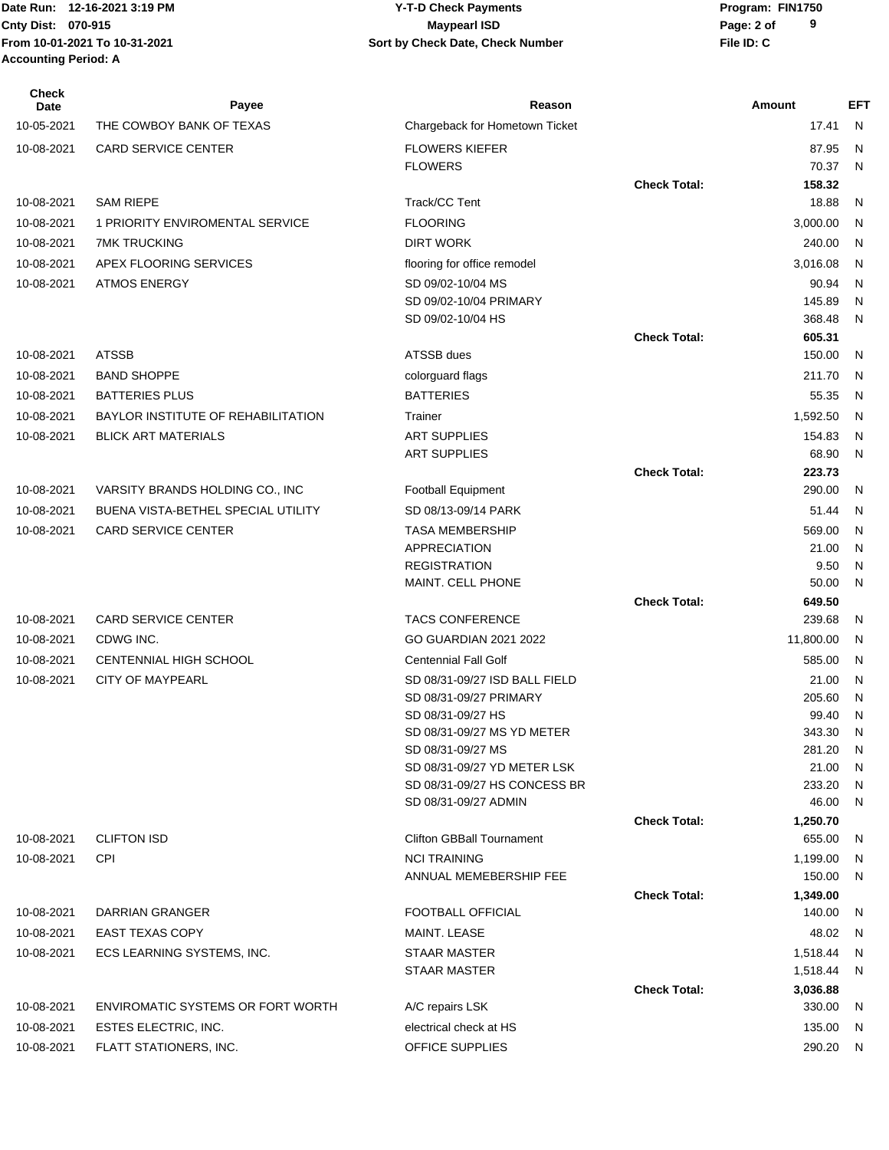| <b>Check</b><br>Date | Payee                              | Reason                                      |                     | Amount             | EFT          |
|----------------------|------------------------------------|---------------------------------------------|---------------------|--------------------|--------------|
| 10-05-2021           | THE COWBOY BANK OF TEXAS           | Chargeback for Hometown Ticket              |                     | 17.41              | $\mathsf{N}$ |
| 10-08-2021           | <b>CARD SERVICE CENTER</b>         | <b>FLOWERS KIEFER</b>                       |                     | 87.95              | N            |
|                      |                                    | <b>FLOWERS</b>                              |                     | 70.37              | N            |
|                      |                                    |                                             | <b>Check Total:</b> | 158.32             |              |
| 10-08-2021           | <b>SAM RIEPE</b>                   | Track/CC Tent                               |                     | 18.88              | N            |
| 10-08-2021           | 1 PRIORITY ENVIROMENTAL SERVICE    | <b>FLOORING</b>                             |                     | 3,000.00           | N            |
| 10-08-2021           | <b>7MK TRUCKING</b>                | <b>DIRT WORK</b>                            |                     | 240.00             | - N          |
| 10-08-2021           | APEX FLOORING SERVICES             | flooring for office remodel                 |                     | 3,016.08           | N            |
| 10-08-2021           | <b>ATMOS ENERGY</b>                | SD 09/02-10/04 MS                           |                     | 90.94              | N            |
|                      |                                    | SD 09/02-10/04 PRIMARY                      |                     | 145.89             | N            |
|                      |                                    | SD 09/02-10/04 HS                           |                     | 368.48             | N            |
| 10-08-2021           | <b>ATSSB</b>                       | ATSSB dues                                  | <b>Check Total:</b> | 605.31<br>150.00   | N            |
| 10-08-2021           | <b>BAND SHOPPE</b>                 | colorguard flags                            |                     | 211.70             | N            |
| 10-08-2021           | <b>BATTERIES PLUS</b>              | <b>BATTERIES</b>                            |                     | 55.35              | $\mathsf{N}$ |
| 10-08-2021           | BAYLOR INSTITUTE OF REHABILITATION | Trainer                                     |                     | 1,592.50           | N            |
| 10-08-2021           | <b>BLICK ART MATERIALS</b>         | <b>ART SUPPLIES</b>                         |                     | 154.83             | N            |
|                      |                                    | <b>ART SUPPLIES</b>                         |                     | 68.90              | N            |
|                      |                                    |                                             | <b>Check Total:</b> | 223.73             |              |
| 10-08-2021           | VARSITY BRANDS HOLDING CO., INC    | Football Equipment                          |                     | 290.00             | N            |
| 10-08-2021           | BUENA VISTA-BETHEL SPECIAL UTILITY | SD 08/13-09/14 PARK                         |                     | 51.44              | N,           |
| 10-08-2021           | <b>CARD SERVICE CENTER</b>         | <b>TASA MEMBERSHIP</b>                      |                     | 569.00             | N            |
|                      |                                    | <b>APPRECIATION</b>                         |                     | 21.00              | N            |
|                      |                                    | <b>REGISTRATION</b>                         |                     | 9.50               | N            |
|                      |                                    | MAINT. CELL PHONE                           |                     | 50.00              | N            |
|                      |                                    |                                             | <b>Check Total:</b> | 649.50             |              |
| 10-08-2021           | <b>CARD SERVICE CENTER</b>         | <b>TACS CONFERENCE</b>                      |                     | 239.68             | N.           |
| 10-08-2021           | CDWG INC.                          | GO GUARDIAN 2021 2022                       |                     | 11,800.00          | N            |
| 10-08-2021           | CENTENNIAL HIGH SCHOOL             | <b>Centennial Fall Golf</b>                 |                     | 585.00             | N            |
| 10-08-2021           | <b>CITY OF MAYPEARL</b>            | SD 08/31-09/27 ISD BALL FIELD               |                     | 21.00              | N            |
|                      |                                    | SD 08/31-09/27 PRIMARY<br>SD 08/31-09/27 HS |                     | 205.60<br>99.40    | N<br>N       |
|                      |                                    | SD 08/31-09/27 MS YD METER                  |                     | 343.30             | N            |
|                      |                                    | SD 08/31-09/27 MS                           |                     | 281.20             | N,           |
|                      |                                    | SD 08/31-09/27 YD METER LSK                 |                     | 21.00              | N,           |
|                      |                                    | SD 08/31-09/27 HS CONCESS BR                |                     | 233.20             | N,           |
|                      |                                    | SD 08/31-09/27 ADMIN                        |                     | 46.00              | N,           |
|                      |                                    |                                             | <b>Check Total:</b> | 1,250.70           |              |
| 10-08-2021           | <b>CLIFTON ISD</b>                 | <b>Clifton GBBall Tournament</b>            |                     | 655.00             | N,           |
| 10-08-2021           | <b>CPI</b>                         | <b>NCI TRAINING</b>                         |                     | 1,199.00           | N            |
|                      |                                    | ANNUAL MEMEBERSHIP FEE                      |                     | 150.00             | N            |
| 10-08-2021           | DARRIAN GRANGER                    | <b>FOOTBALL OFFICIAL</b>                    | <b>Check Total:</b> | 1,349.00<br>140.00 | N,           |
| 10-08-2021           | <b>EAST TEXAS COPY</b>             | MAINT. LEASE                                |                     | 48.02              | N            |
| 10-08-2021           | ECS LEARNING SYSTEMS, INC.         | <b>STAAR MASTER</b>                         |                     | 1,518.44           | N            |
|                      |                                    | STAAR MASTER                                |                     | 1,518.44           | N            |
|                      |                                    |                                             | <b>Check Total:</b> | 3,036.88           |              |
| 10-08-2021           | ENVIROMATIC SYSTEMS OR FORT WORTH  | A/C repairs LSK                             |                     | 330.00             | - N          |
| 10-08-2021           | ESTES ELECTRIC, INC.               | electrical check at HS                      |                     | 135.00             | - N          |
| 10-08-2021           | FLATT STATIONERS, INC.             | OFFICE SUPPLIES                             |                     | 290.20 N           |              |
|                      |                                    |                                             |                     |                    |              |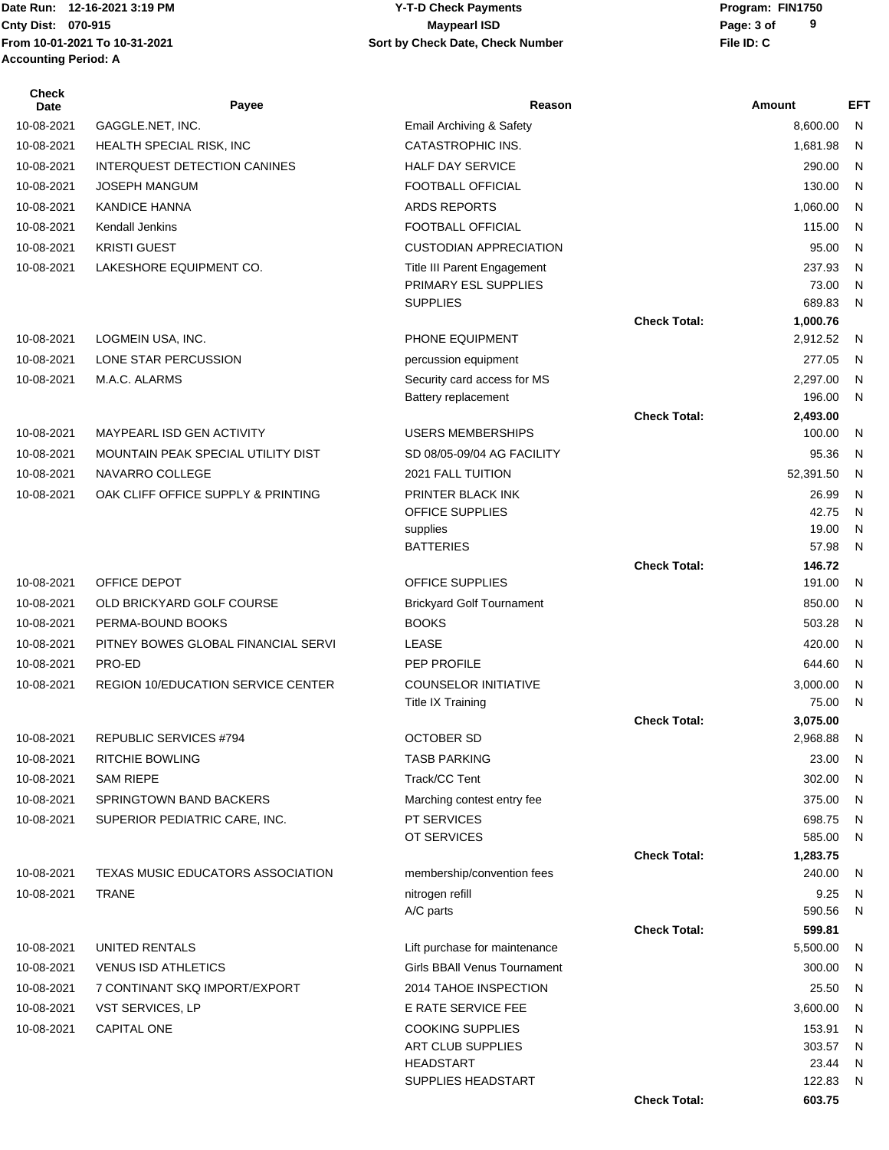## Date Run: 12-16-2021 3:19 PM **CONTACT CONSTRESS PARAMETER PROGRAM:** Program: FIN1750 **Cnty Dist:** 070-915 **Page: 3 of Page: 3 of MaypearI ISD 12-16-2021 3:19 PM Y-T-D Check Payments 070-915 Maypearl ISD**

| <b>Check</b><br>Date | Payee                                     | Reason                                             |                     | Amount             | <b>EFT</b>   |
|----------------------|-------------------------------------------|----------------------------------------------------|---------------------|--------------------|--------------|
| 10-08-2021           | GAGGLE.NET, INC.                          | Email Archiving & Safety                           |                     | 8,600.00           | N            |
| 10-08-2021           | HEALTH SPECIAL RISK, INC                  | <b>CATASTROPHIC INS.</b>                           |                     | 1,681.98           | $\mathsf{N}$ |
| 10-08-2021           | <b>INTERQUEST DETECTION CANINES</b>       | <b>HALF DAY SERVICE</b>                            |                     | 290.00             | N            |
| 10-08-2021           | <b>JOSEPH MANGUM</b>                      | <b>FOOTBALL OFFICIAL</b>                           |                     | 130.00             | N            |
| 10-08-2021           | <b>KANDICE HANNA</b>                      | <b>ARDS REPORTS</b>                                |                     | 1,060.00           | N            |
| 10-08-2021           | Kendall Jenkins                           | <b>FOOTBALL OFFICIAL</b>                           |                     | 115.00             | N            |
| 10-08-2021           | <b>KRISTI GUEST</b>                       | <b>CUSTODIAN APPRECIATION</b>                      |                     | 95.00              | N            |
| 10-08-2021           | LAKESHORE EQUIPMENT CO.                   | Title III Parent Engagement                        |                     | 237.93             | N            |
|                      |                                           | PRIMARY ESL SUPPLIES                               |                     | 73.00              | $\mathsf{N}$ |
|                      |                                           | <b>SUPPLIES</b>                                    |                     | 689.83             | $\mathsf{N}$ |
|                      |                                           |                                                    | <b>Check Total:</b> | 1,000.76           |              |
| 10-08-2021           | LOGMEIN USA, INC.                         | PHONE EQUIPMENT                                    |                     | 2,912.52           | N            |
| 10-08-2021           | LONE STAR PERCUSSION<br>M.A.C. ALARMS     | percussion equipment                               |                     | 277.05             | N            |
| 10-08-2021           |                                           | Security card access for MS<br>Battery replacement |                     | 2,297.00<br>196.00 | N<br>N       |
|                      |                                           |                                                    | <b>Check Total:</b> | 2,493.00           |              |
| 10-08-2021           | MAYPEARL ISD GEN ACTIVITY                 | <b>USERS MEMBERSHIPS</b>                           |                     | 100.00             | ${\sf N}$    |
| 10-08-2021           | MOUNTAIN PEAK SPECIAL UTILITY DIST        | SD 08/05-09/04 AG FACILITY                         |                     | 95.36              | N            |
| 10-08-2021           | NAVARRO COLLEGE                           | 2021 FALL TUITION                                  |                     | 52,391.50          | N            |
| 10-08-2021           | OAK CLIFF OFFICE SUPPLY & PRINTING        | PRINTER BLACK INK                                  |                     | 26.99              | $\mathsf{N}$ |
|                      |                                           | OFFICE SUPPLIES                                    |                     | 42.75              | $\mathsf{N}$ |
|                      |                                           | supplies                                           |                     | 19.00              | N            |
|                      |                                           | <b>BATTERIES</b>                                   |                     | 57.98              | $\mathsf{N}$ |
| 10-08-2021           | OFFICE DEPOT                              | <b>OFFICE SUPPLIES</b>                             | <b>Check Total:</b> | 146.72<br>191.00   | N            |
| 10-08-2021           | OLD BRICKYARD GOLF COURSE                 |                                                    |                     | 850.00             | N            |
| 10-08-2021           | PERMA-BOUND BOOKS                         | <b>Brickyard Golf Tournament</b><br><b>BOOKS</b>   |                     | 503.28             | N            |
| 10-08-2021           | PITNEY BOWES GLOBAL FINANCIAL SERVI       | LEASE                                              |                     | 420.00             | N            |
| 10-08-2021           | PRO-ED                                    | PEP PROFILE                                        |                     | 644.60             | N            |
| 10-08-2021           | <b>REGION 10/EDUCATION SERVICE CENTER</b> | <b>COUNSELOR INITIATIVE</b>                        |                     | 3,000.00           | $\mathsf{N}$ |
|                      |                                           | <b>Title IX Training</b>                           |                     | 75.00              | N            |
|                      |                                           |                                                    | <b>Check Total:</b> | 3,075.00           |              |
| 10-08-2021           | REPUBLIC SERVICES #794                    | <b>OCTOBER SD</b>                                  |                     | 2,968.88           | N            |
| 10-08-2021           | <b>RITCHIE BOWLING</b>                    | <b>TASB PARKING</b>                                |                     | 23.00              | - N          |
| 10-08-2021           | <b>SAM RIEPE</b>                          | Track/CC Tent                                      |                     | 302.00             | N            |
| 10-08-2021           | SPRINGTOWN BAND BACKERS                   | Marching contest entry fee                         |                     | 375.00             | N            |
| 10-08-2021           | SUPERIOR PEDIATRIC CARE, INC.             | PT SERVICES                                        |                     | 698.75             | N            |
|                      |                                           | OT SERVICES                                        |                     | 585.00             | N            |
|                      |                                           |                                                    | <b>Check Total:</b> | 1,283.75           |              |
| 10-08-2021           | TEXAS MUSIC EDUCATORS ASSOCIATION         | membership/convention fees                         |                     | 240.00             | N            |
| 10-08-2021           | <b>TRANE</b>                              | nitrogen refill                                    |                     | 9.25               | N            |
|                      |                                           | A/C parts                                          |                     | 590.56             | N            |
| 10-08-2021           | UNITED RENTALS                            | Lift purchase for maintenance                      | <b>Check Total:</b> | 599.81<br>5,500.00 | N            |
| 10-08-2021           | <b>VENUS ISD ATHLETICS</b>                | Girls BBAII Venus Tournament                       |                     | 300.00             | N            |
| 10-08-2021           | 7 CONTINANT SKQ IMPORT/EXPORT             | 2014 TAHOE INSPECTION                              |                     | 25.50              | N            |
| 10-08-2021           | VST SERVICES, LP                          | E RATE SERVICE FEE                                 |                     | 3,600.00           | N            |
| 10-08-2021           | <b>CAPITAL ONE</b>                        | <b>COOKING SUPPLIES</b>                            |                     | 153.91             | N            |
|                      |                                           | ART CLUB SUPPLIES                                  |                     | 303.57             | N            |
|                      |                                           | <b>HEADSTART</b>                                   |                     | 23.44              | N            |
|                      |                                           | SUPPLIES HEADSTART                                 |                     | 122.83             | N,           |
|                      |                                           |                                                    | <b>Check Total:</b> | 603.75             |              |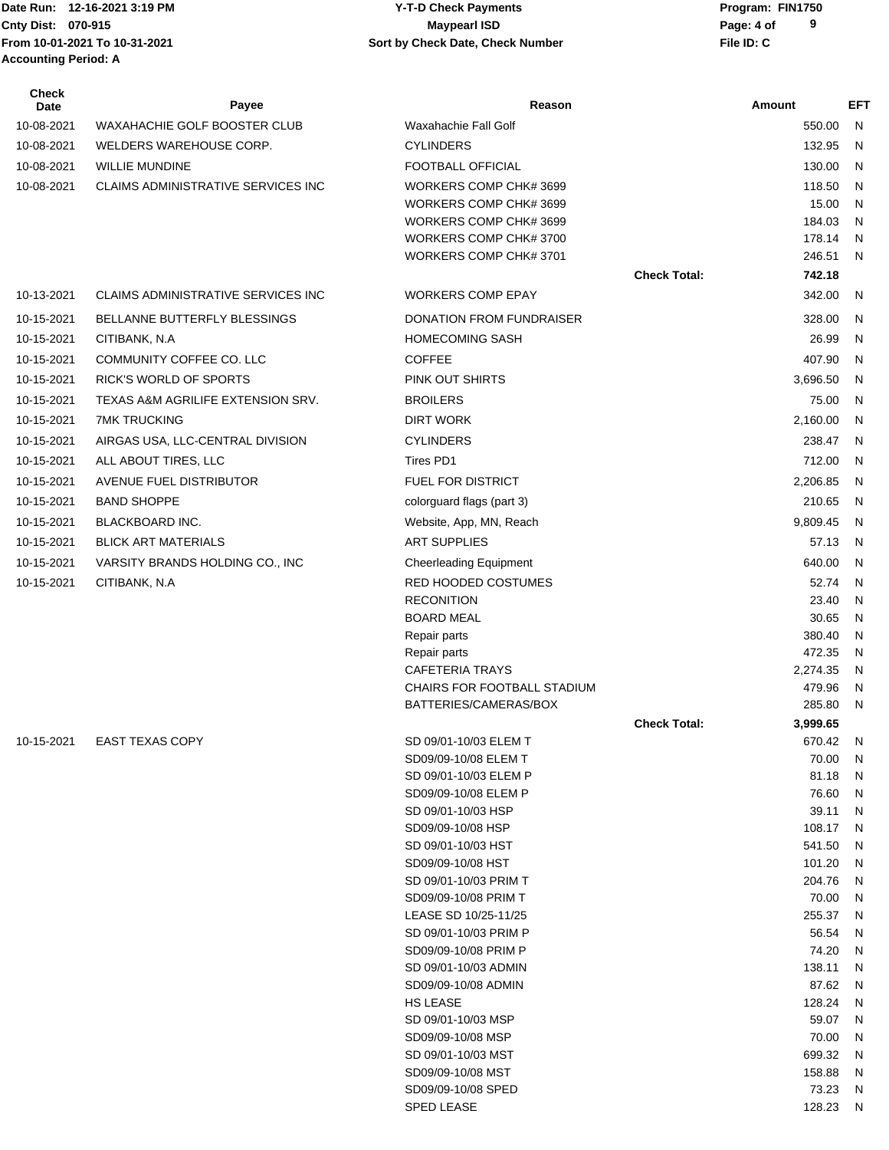### Date Run: 12-16-2021 3:19 PM **CONTACT CONSTRESS PARAMETER PROGRAM:** Program: FIN1750 **Cnty Dist:** 070-915 **Page: 4 of MaypearI ISD MaypearI ISD 12-16-2021 3:19 PM Y-T-D Check Payments 070-915 Maypearl ISD**

| <b>Check</b><br>Date | Payee                                     | Reason                                        |                     | Amount          | <b>EFT</b>        |
|----------------------|-------------------------------------------|-----------------------------------------------|---------------------|-----------------|-------------------|
| 10-08-2021           | <b>WAXAHACHIE GOLF BOOSTER CLUB</b>       | Waxahachie Fall Golf                          |                     | 550.00          | N                 |
| 10-08-2021           | WELDERS WAREHOUSE CORP.                   | <b>CYLINDERS</b>                              |                     | 132.95          | N                 |
| 10-08-2021           | <b>WILLIE MUNDINE</b>                     | FOOTBALL OFFICIAL                             |                     | 130.00          | N                 |
| 10-08-2021           | CLAIMS ADMINISTRATIVE SERVICES INC        | WORKERS COMP CHK# 3699                        |                     | 118.50          | N                 |
|                      |                                           | WORKERS COMP CHK# 3699                        |                     | 15.00           | N                 |
|                      |                                           | WORKERS COMP CHK# 3699                        |                     | 184.03          | N                 |
|                      |                                           | WORKERS COMP CHK# 3700                        |                     | 178.14          | N                 |
|                      |                                           | WORKERS COMP CHK# 3701                        |                     | 246.51          | N                 |
|                      |                                           |                                               | <b>Check Total:</b> | 742.18          |                   |
| 10-13-2021           | <b>CLAIMS ADMINISTRATIVE SERVICES INC</b> | <b>WORKERS COMP EPAY</b>                      |                     | 342.00          | N                 |
| 10-15-2021           | BELLANNE BUTTERFLY BLESSINGS              | DONATION FROM FUNDRAISER                      |                     | 328.00          | N                 |
| 10-15-2021           | CITIBANK, N.A.                            | <b>HOMECOMING SASH</b>                        |                     | 26.99           | N                 |
| 10-15-2021           | COMMUNITY COFFEE CO. LLC                  | <b>COFFEE</b>                                 |                     | 407.90          | N                 |
| 10-15-2021           | RICK'S WORLD OF SPORTS                    | PINK OUT SHIRTS                               |                     | 3,696.50        | N                 |
| 10-15-2021           | TEXAS A&M AGRILIFE EXTENSION SRV.         | <b>BROILERS</b>                               |                     | 75.00           | N                 |
| 10-15-2021           | <b>7MK TRUCKING</b>                       | <b>DIRT WORK</b>                              |                     | 2,160.00        | N                 |
| 10-15-2021           | AIRGAS USA, LLC-CENTRAL DIVISION          | <b>CYLINDERS</b>                              |                     | 238.47          | N                 |
| 10-15-2021           | ALL ABOUT TIRES, LLC                      | Tires PD1                                     |                     | 712.00          | N                 |
| 10-15-2021           | AVENUE FUEL DISTRIBUTOR                   | FUEL FOR DISTRICT                             |                     | 2,206.85        | N                 |
| 10-15-2021           | <b>BAND SHOPPE</b>                        | colorguard flags (part 3)                     |                     | 210.65          | N                 |
| 10-15-2021           | <b>BLACKBOARD INC.</b>                    | Website, App, MN, Reach                       |                     | 9,809.45        | N                 |
| 10-15-2021           | <b>BLICK ART MATERIALS</b>                | <b>ART SUPPLIES</b>                           |                     | 57.13           | N                 |
| 10-15-2021           |                                           |                                               |                     | 640.00          | N                 |
|                      | VARSITY BRANDS HOLDING CO., INC           | <b>Cheerleading Equipment</b>                 |                     | 52.74           | N                 |
| 10-15-2021           | CITIBANK, N.A                             | RED HOODED COSTUMES<br><b>RECONITION</b>      |                     | 23.40           | N                 |
|                      |                                           | <b>BOARD MEAL</b>                             |                     | 30.65           | N                 |
|                      |                                           | Repair parts                                  |                     | 380.40          | N                 |
|                      |                                           | Repair parts                                  |                     | 472.35          | N                 |
|                      |                                           | <b>CAFETERIA TRAYS</b>                        |                     | 2,274.35        | N                 |
|                      |                                           | CHAIRS FOR FOOTBALL STADIUM                   |                     | 479.96          | N                 |
|                      |                                           | BATTERIES/CAMERAS/BOX                         |                     | 285.80          | N                 |
|                      |                                           |                                               | <b>Check Total:</b> | 3,999.65        |                   |
| 10-15-2021           | <b>EAST TEXAS COPY</b>                    | SD 09/01-10/03 ELEM T                         |                     | 670.42<br>70.00 | $\mathsf{N}$<br>N |
|                      |                                           | SD09/09-10/08 ELEM T<br>SD 09/01-10/03 ELEM P |                     | 81.18           | N                 |
|                      |                                           | SD09/09-10/08 ELEM P                          |                     | 76.60           | N                 |
|                      |                                           | SD 09/01-10/03 HSP                            |                     | 39.11           | N                 |
|                      |                                           | SD09/09-10/08 HSP                             |                     | 108.17          | N                 |
|                      |                                           | SD 09/01-10/03 HST                            |                     | 541.50          | N                 |
|                      |                                           | SD09/09-10/08 HST                             |                     | 101.20          | N                 |
|                      |                                           | SD 09/01-10/03 PRIM T                         |                     | 204.76          | N                 |
|                      |                                           | SD09/09-10/08 PRIM T                          |                     | 70.00           | N                 |
|                      |                                           | LEASE SD 10/25-11/25                          |                     | 255.37          | N                 |
|                      |                                           | SD 09/01-10/03 PRIM P                         |                     | 56.54           | N                 |
|                      |                                           | SD09/09-10/08 PRIM P<br>SD 09/01-10/03 ADMIN  |                     | 74.20<br>138.11 | N<br>N            |
|                      |                                           | SD09/09-10/08 ADMIN                           |                     | 87.62           | N                 |
|                      |                                           | HS LEASE                                      |                     | 128.24          | N                 |
|                      |                                           | SD 09/01-10/03 MSP                            |                     | 59.07           | N                 |
|                      |                                           | SD09/09-10/08 MSP                             |                     | 70.00           | N                 |
|                      |                                           | SD 09/01-10/03 MST                            |                     | 699.32          | N                 |
|                      |                                           | SD09/09-10/08 MST                             |                     | 158.88          | N                 |
|                      |                                           | SD09/09-10/08 SPED                            |                     | 73.23           | N                 |
|                      |                                           | <b>SPED LEASE</b>                             |                     | 128.23          | N                 |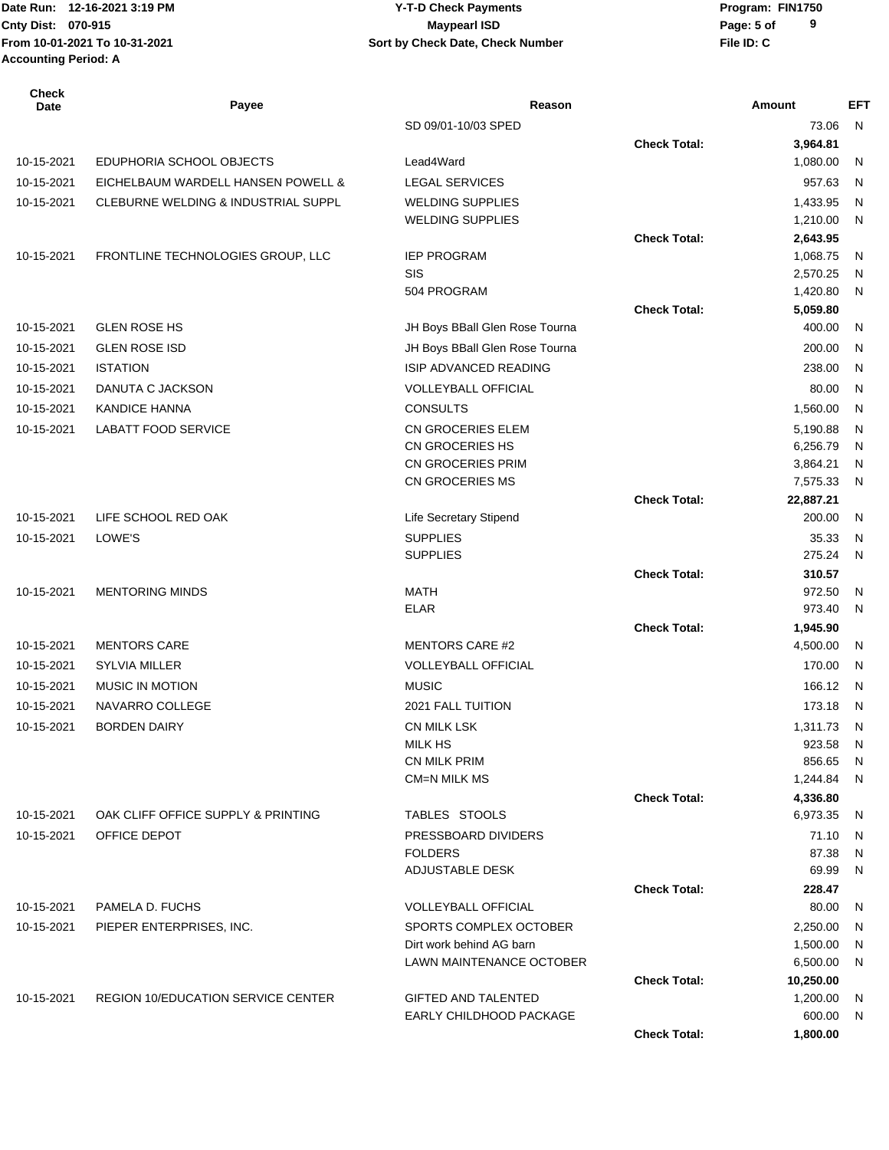Date Run: 12-16-2021 3:19 PM **CONTACT CONSTRESS PARAMETER PROGRAM:** Program: FIN1750 **From 10-01-2021 To 10-31-2021 File ID: C Sort by Check Date, Check Number Accounting Period: A**

| Check<br>Date | Payee                                     | Reason                                      |                     | Amount               | <b>EFT</b> |
|---------------|-------------------------------------------|---------------------------------------------|---------------------|----------------------|------------|
|               |                                           | SD 09/01-10/03 SPED                         |                     | 73.06                | N          |
|               |                                           |                                             | <b>Check Total:</b> | 3,964.81             |            |
| 10-15-2021    | EDUPHORIA SCHOOL OBJECTS                  | Lead4Ward                                   |                     | 1,080.00             | N          |
| 10-15-2021    | EICHELBAUM WARDELL HANSEN POWELL &        | <b>LEGAL SERVICES</b>                       |                     | 957.63               | N          |
| 10-15-2021    | CLEBURNE WELDING & INDUSTRIAL SUPPL       | <b>WELDING SUPPLIES</b>                     |                     | 1,433.95             | N          |
|               |                                           | <b>WELDING SUPPLIES</b>                     |                     | 1,210.00             | N          |
|               |                                           |                                             | <b>Check Total:</b> | 2,643.95             |            |
| 10-15-2021    | FRONTLINE TECHNOLOGIES GROUP, LLC         | <b>IEP PROGRAM</b>                          |                     | 1,068.75             | N          |
|               |                                           | SIS<br>504 PROGRAM                          |                     | 2,570.25<br>1,420.80 | N<br>N     |
|               |                                           |                                             | <b>Check Total:</b> | 5,059.80             |            |
| 10-15-2021    | <b>GLEN ROSE HS</b>                       | JH Boys BBall Glen Rose Tourna              |                     | 400.00               | N          |
| 10-15-2021    | <b>GLEN ROSE ISD</b>                      | JH Boys BBall Glen Rose Tourna              |                     | 200.00               | N          |
|               | <b>ISTATION</b>                           | ISIP ADVANCED READING                       |                     | 238.00               |            |
| 10-15-2021    |                                           |                                             |                     |                      | N          |
| 10-15-2021    | DANUTA C JACKSON                          | <b>VOLLEYBALL OFFICIAL</b>                  |                     | 80.00                | N          |
| 10-15-2021    | <b>KANDICE HANNA</b>                      | <b>CONSULTS</b>                             |                     | 1,560.00             | N          |
| 10-15-2021    | <b>LABATT FOOD SERVICE</b>                | CN GROCERIES ELEM                           |                     | 5,190.88             | N          |
|               |                                           | CN GROCERIES HS<br><b>CN GROCERIES PRIM</b> |                     | 6,256.79<br>3,864.21 | N<br>N     |
|               |                                           | CN GROCERIES MS                             |                     | 7,575.33             | N          |
|               |                                           |                                             | <b>Check Total:</b> | 22,887.21            |            |
| 10-15-2021    | LIFE SCHOOL RED OAK                       | <b>Life Secretary Stipend</b>               |                     | 200.00               | N          |
| 10-15-2021    | LOWE'S                                    | <b>SUPPLIES</b>                             |                     | 35.33                | N          |
|               |                                           | <b>SUPPLIES</b>                             |                     | 275.24               | N          |
|               |                                           |                                             | <b>Check Total:</b> | 310.57               |            |
| 10-15-2021    | <b>MENTORING MINDS</b>                    | <b>MATH</b>                                 |                     | 972.50               | N          |
|               |                                           | <b>ELAR</b>                                 |                     | 973.40               | N          |
|               |                                           |                                             | <b>Check Total:</b> | 1,945.90             |            |
| 10-15-2021    | <b>MENTORS CARE</b>                       | <b>MENTORS CARE #2</b>                      |                     | 4,500.00             | N          |
| 10-15-2021    | <b>SYLVIA MILLER</b>                      | <b>VOLLEYBALL OFFICIAL</b>                  |                     | 170.00               | N          |
| 10-15-2021    | <b>MUSIC IN MOTION</b>                    | <b>MUSIC</b>                                |                     | 166.12               | - N        |
| 10-15-2021    | NAVARRO COLLEGE                           | 2021 FALL TUITION                           |                     | 173.18               | N.         |
| 10-15-2021    | <b>BORDEN DAIRY</b>                       | CN MILK LSK                                 |                     | 1,311.73             | N          |
|               |                                           | <b>MILK HS</b>                              |                     | 923.58               | N,         |
|               |                                           | <b>CN MILK PRIM</b>                         |                     | 856.65               | N.         |
|               |                                           | CM=N MILK MS                                |                     | 1,244.84             | - N        |
|               |                                           |                                             | <b>Check Total:</b> | 4,336.80             |            |
| 10-15-2021    | OAK CLIFF OFFICE SUPPLY & PRINTING        | TABLES STOOLS                               |                     | 6,973.35             | N,         |
| 10-15-2021    | OFFICE DEPOT                              | PRESSBOARD DIVIDERS                         |                     | 71.10                | N.         |
|               |                                           | <b>FOLDERS</b><br>ADJUSTABLE DESK           |                     | 87.38<br>69.99       | N<br>N     |
|               |                                           |                                             | <b>Check Total:</b> | 228.47               |            |
| 10-15-2021    | PAMELA D. FUCHS                           | <b>VOLLEYBALL OFFICIAL</b>                  |                     | 80.00                | N          |
| 10-15-2021    | PIEPER ENTERPRISES, INC.                  | SPORTS COMPLEX OCTOBER                      |                     | 2,250.00             | N          |
|               |                                           | Dirt work behind AG barn                    |                     | 1,500.00             | N          |
|               |                                           | LAWN MAINTENANCE OCTOBER                    |                     | 6,500.00             | N          |
|               |                                           |                                             | <b>Check Total:</b> | 10,250.00            |            |
| 10-15-2021    | <b>REGION 10/EDUCATION SERVICE CENTER</b> | <b>GIFTED AND TALENTED</b>                  |                     | 1,200.00             | N,         |
|               |                                           | EARLY CHILDHOOD PACKAGE                     |                     | 600.00               | N,         |
|               |                                           |                                             | <b>Check Total:</b> | 1,800.00             |            |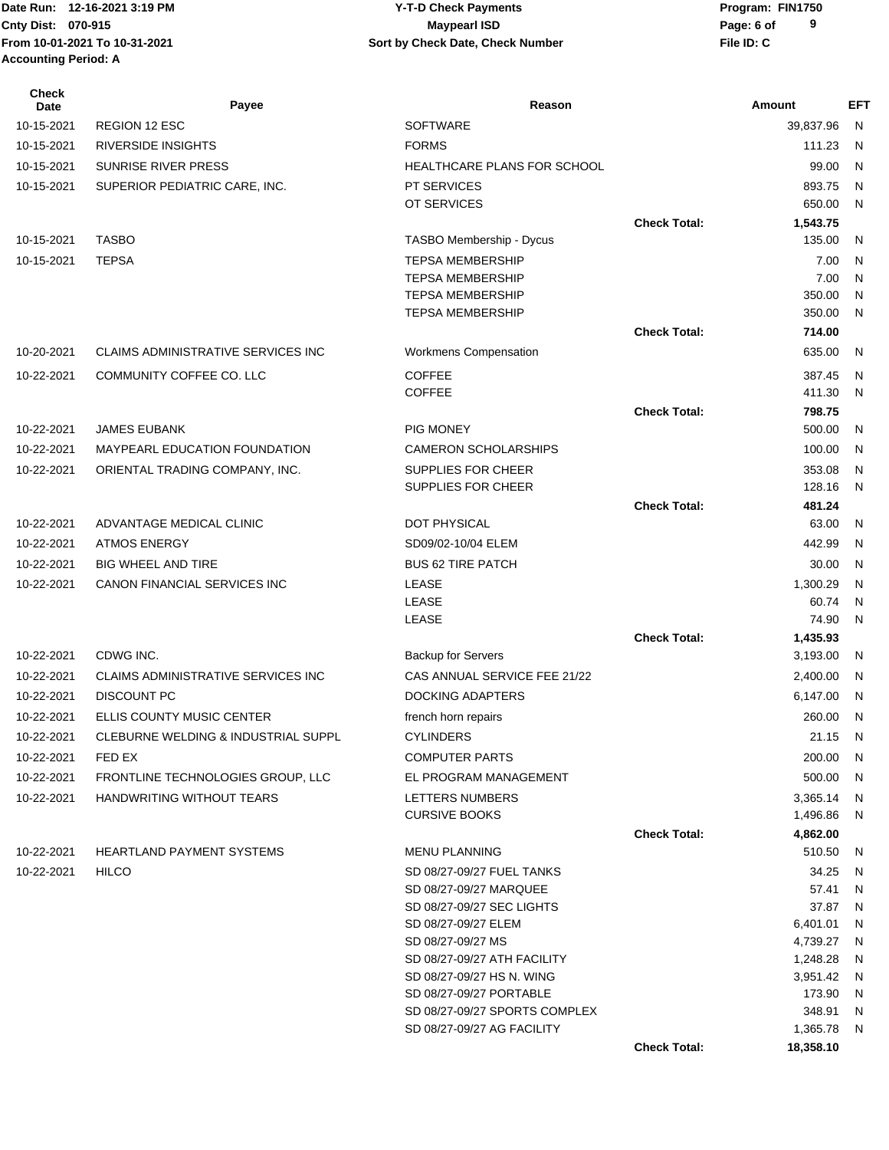**Accounting Period: A**

#### Date Run: 12-16-2021 3:19 PM **CONTACT CONSTRESS PARAMETER PROGRAM:** Program: FIN1750 **Cnty Dist:** 070-915 **Page:** 6 of **From 10-01-2021 To 10-31-2021 File ID: C Sort by Check Date, Check Number 12-16-2021 3:19 PM Y-T-D Check Payments 070-915 Maypearl ISD**

| <b>Check</b><br>Date | Payee                                | Reason                                           |                     | Amount               | <b>EFT</b>   |
|----------------------|--------------------------------------|--------------------------------------------------|---------------------|----------------------|--------------|
| 10-15-2021           | <b>REGION 12 ESC</b>                 | <b>SOFTWARE</b>                                  |                     | 39,837.96            | N            |
| 10-15-2021           | <b>RIVERSIDE INSIGHTS</b>            | <b>FORMS</b>                                     |                     | 111.23               | N            |
| 10-15-2021           | SUNRISE RIVER PRESS                  | HEALTHCARE PLANS FOR SCHOOL                      |                     | 99.00                | N            |
| 10-15-2021           | SUPERIOR PEDIATRIC CARE, INC.        | <b>PT SERVICES</b>                               |                     | 893.75               | N            |
|                      |                                      | OT SERVICES                                      |                     | 650.00               | N            |
|                      |                                      |                                                  | <b>Check Total:</b> | 1,543.75             |              |
| 10-15-2021           | <b>TASBO</b>                         | TASBO Membership - Dycus                         |                     | 135.00               | N            |
| 10-15-2021           | <b>TEPSA</b>                         | <b>TEPSA MEMBERSHIP</b>                          |                     | 7.00                 | N            |
|                      |                                      | <b>TEPSA MEMBERSHIP</b>                          |                     | 7.00                 | N            |
|                      |                                      | <b>TEPSA MEMBERSHIP</b>                          |                     | 350.00               | N            |
|                      |                                      | <b>TEPSA MEMBERSHIP</b>                          |                     | 350.00               | N            |
|                      |                                      |                                                  | <b>Check Total:</b> | 714.00               |              |
| 10-20-2021           | CLAIMS ADMINISTRATIVE SERVICES INC   | Workmens Compensation                            |                     | 635.00               | N            |
| 10-22-2021           | COMMUNITY COFFEE CO. LLC             | <b>COFFEE</b>                                    |                     | 387.45               | N            |
|                      |                                      | <b>COFFEE</b>                                    |                     | 411.30               | N            |
|                      |                                      |                                                  | <b>Check Total:</b> | 798.75               |              |
| 10-22-2021           | <b>JAMES EUBANK</b>                  | <b>PIG MONEY</b>                                 |                     | 500.00               | N            |
| 10-22-2021           | <b>MAYPEARL EDUCATION FOUNDATION</b> | <b>CAMERON SCHOLARSHIPS</b>                      |                     | 100.00               | N            |
| 10-22-2021           | ORIENTAL TRADING COMPANY, INC.       | SUPPLIES FOR CHEER<br><b>SUPPLIES FOR CHEER</b>  |                     | 353.08               | N<br>N       |
|                      |                                      |                                                  | <b>Check Total:</b> | 128.16<br>481.24     |              |
| 10-22-2021           | ADVANTAGE MEDICAL CLINIC             | DOT PHYSICAL                                     |                     | 63.00                | N            |
| 10-22-2021           | <b>ATMOS ENERGY</b>                  | SD09/02-10/04 ELEM                               |                     | 442.99               | N            |
| 10-22-2021           | <b>BIG WHEEL AND TIRE</b>            | <b>BUS 62 TIRE PATCH</b>                         |                     | 30.00                | N            |
| 10-22-2021           | CANON FINANCIAL SERVICES INC         | LEASE                                            |                     | 1,300.29             | N            |
|                      |                                      | LEASE                                            |                     | 60.74                | $\mathsf{N}$ |
|                      |                                      | LEASE                                            |                     | 74.90                | N            |
|                      |                                      |                                                  | <b>Check Total:</b> | 1,435.93             |              |
| 10-22-2021           | CDWG INC.                            | <b>Backup for Servers</b>                        |                     | 3,193.00             | N            |
| 10-22-2021           | CLAIMS ADMINISTRATIVE SERVICES INC   | CAS ANNUAL SERVICE FEE 21/22                     |                     | 2,400.00             | N            |
| 10-22-2021           | <b>DISCOUNT PC</b>                   | <b>DOCKING ADAPTERS</b>                          |                     | 6,147.00             | N            |
| 10-22-2021           | ELLIS COUNTY MUSIC CENTER            | french horn repairs                              |                     | 260.00               | N            |
| 10-22-2021           | CLEBURNE WELDING & INDUSTRIAL SUPPL  | <b>CYLINDERS</b>                                 |                     | 21.15 N              |              |
| 10-22-2021           | FED EX                               | <b>COMPUTER PARTS</b>                            |                     | 200.00 N             |              |
| 10-22-2021           | FRONTLINE TECHNOLOGIES GROUP, LLC    | EL PROGRAM MANAGEMENT                            |                     | 500.00               | N            |
| 10-22-2021           | HANDWRITING WITHOUT TEARS            | LETTERS NUMBERS                                  |                     | 3,365.14             | N,           |
|                      |                                      | <b>CURSIVE BOOKS</b>                             |                     | 1,496.86             | N            |
|                      |                                      |                                                  | <b>Check Total:</b> | 4,862.00             |              |
| 10-22-2021           | <b>HEARTLAND PAYMENT SYSTEMS</b>     | <b>MENU PLANNING</b>                             |                     | 510.50               | N,           |
| 10-22-2021           | <b>HILCO</b>                         | SD 08/27-09/27 FUEL TANKS                        |                     | 34.25                | N            |
|                      |                                      | SD 08/27-09/27 MARQUEE                           |                     | 57.41                | N            |
|                      |                                      | SD 08/27-09/27 SEC LIGHTS                        |                     | 37.87                | N            |
|                      |                                      | SD 08/27-09/27 ELEM                              |                     | 6,401.01             | N            |
|                      |                                      | SD 08/27-09/27 MS<br>SD 08/27-09/27 ATH FACILITY |                     | 4,739.27<br>1,248.28 | N<br>N       |
|                      |                                      | SD 08/27-09/27 HS N. WING                        |                     | 3,951.42             | N,           |
|                      |                                      | SD 08/27-09/27 PORTABLE                          |                     | 173.90               | N,           |
|                      |                                      | SD 08/27-09/27 SPORTS COMPLEX                    |                     | 348.91               | N,           |
|                      |                                      | SD 08/27-09/27 AG FACILITY                       |                     | 1,365.78             | N,           |
|                      |                                      |                                                  | <b>Check Total:</b> | 18,358.10            |              |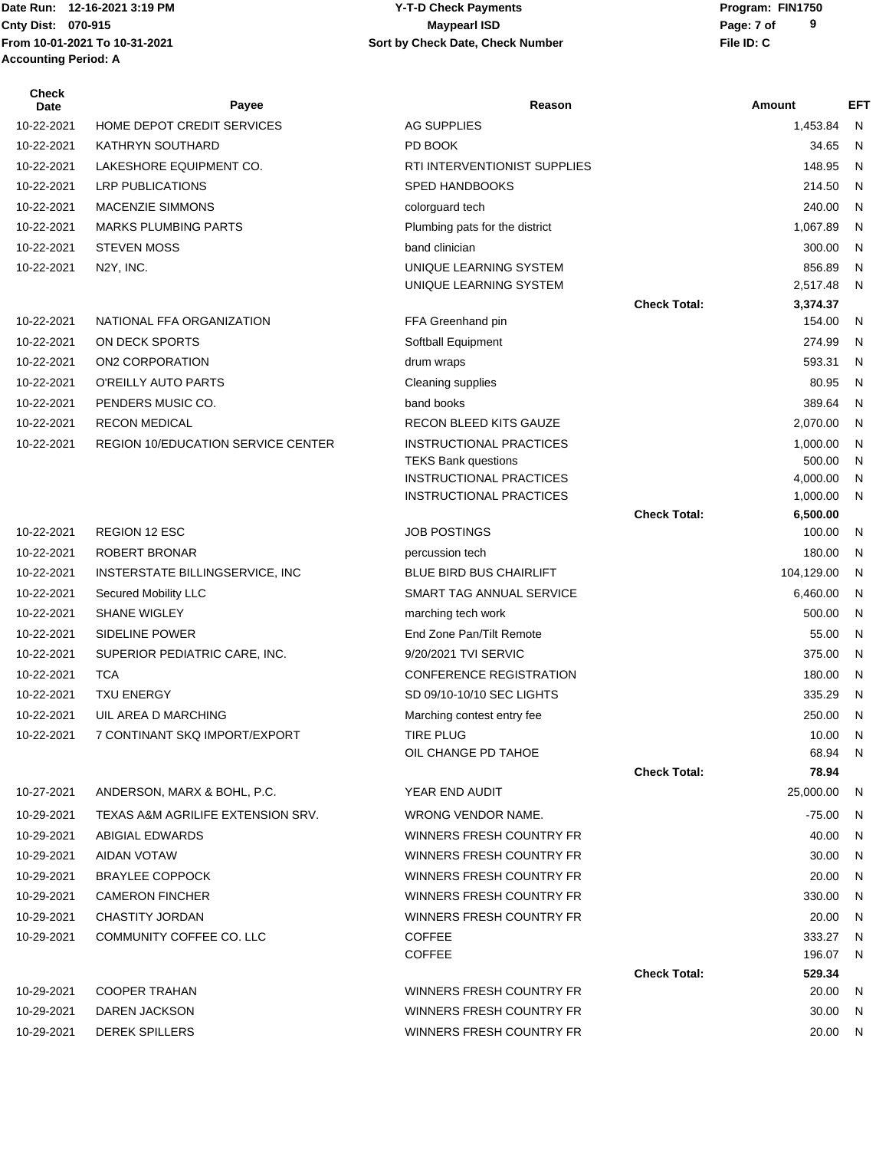## Date Run: 12-16-2021 3:19 PM **CONTACT CONSTRESS PARAMETER PROGRAM:** Program: FIN1750 **Cnty Dist:** 070-915 **Page: 7 of Page: 7 of MaypearI ISD 12-16-2021 3:19 PM Y-T-D Check Payments 070-915 Maypearl ISD**

| <b>Check</b><br>Date | Payee                              | Reason                                                           |                     | Amount               | EFT    |
|----------------------|------------------------------------|------------------------------------------------------------------|---------------------|----------------------|--------|
| 10-22-2021           | HOME DEPOT CREDIT SERVICES         | <b>AG SUPPLIES</b>                                               |                     | 1,453.84             | N      |
| 10-22-2021           | <b>KATHRYN SOUTHARD</b>            | PD BOOK                                                          |                     | 34.65                | N      |
| 10-22-2021           | LAKESHORE EQUIPMENT CO.            | RTI INTERVENTIONIST SUPPLIES                                     |                     | 148.95               | N      |
| 10-22-2021           | <b>LRP PUBLICATIONS</b>            | <b>SPED HANDBOOKS</b>                                            |                     | 214.50               | N      |
| 10-22-2021           | <b>MACENZIE SIMMONS</b>            | colorguard tech                                                  |                     | 240.00               | N      |
| 10-22-2021           | <b>MARKS PLUMBING PARTS</b>        | Plumbing pats for the district                                   |                     | 1,067.89             | N      |
| 10-22-2021           | <b>STEVEN MOSS</b>                 | band clinician                                                   |                     | 300.00               | N      |
| 10-22-2021           | N2Y, INC.                          | UNIQUE LEARNING SYSTEM                                           |                     | 856.89               | N      |
|                      |                                    | UNIQUE LEARNING SYSTEM                                           |                     | 2,517.48             | N      |
|                      |                                    |                                                                  | <b>Check Total:</b> | 3,374.37             |        |
| 10-22-2021           | NATIONAL FFA ORGANIZATION          | FFA Greenhand pin                                                |                     | 154.00               | N      |
| 10-22-2021           | ON DECK SPORTS                     | Softball Equipment                                               |                     | 274.99               | N      |
| 10-22-2021           | ON2 CORPORATION                    | drum wraps                                                       |                     | 593.31               | N      |
| 10-22-2021           | O'REILLY AUTO PARTS                | Cleaning supplies                                                |                     | 80.95                | N      |
| 10-22-2021           | PENDERS MUSIC CO.                  | band books                                                       |                     | 389.64               | N      |
| 10-22-2021           | <b>RECON MEDICAL</b>               | RECON BLEED KITS GAUZE                                           |                     | 2,070.00             | N      |
| 10-22-2021           | REGION 10/EDUCATION SERVICE CENTER | <b>INSTRUCTIONAL PRACTICES</b>                                   |                     | 1,000.00             | N      |
|                      |                                    | <b>TEKS Bank questions</b>                                       |                     | 500.00               | N      |
|                      |                                    | <b>INSTRUCTIONAL PRACTICES</b><br><b>INSTRUCTIONAL PRACTICES</b> |                     | 4,000.00<br>1,000.00 | N<br>N |
|                      |                                    |                                                                  | <b>Check Total:</b> | 6,500.00             |        |
| 10-22-2021           | <b>REGION 12 ESC</b>               | <b>JOB POSTINGS</b>                                              |                     | 100.00               | N      |
| 10-22-2021           | ROBERT BRONAR                      | percussion tech                                                  |                     | 180.00               | N      |
| 10-22-2021           | INSTERSTATE BILLINGSERVICE, INC    | <b>BLUE BIRD BUS CHAIRLIFT</b>                                   |                     | 104,129.00           | N      |
| 10-22-2021           | Secured Mobility LLC               | SMART TAG ANNUAL SERVICE                                         |                     | 6,460.00             | N      |
| 10-22-2021           | <b>SHANE WIGLEY</b>                | marching tech work                                               |                     | 500.00               | N      |
| 10-22-2021           | <b>SIDELINE POWER</b>              | End Zone Pan/Tilt Remote                                         |                     | 55.00                | N      |
| 10-22-2021           | SUPERIOR PEDIATRIC CARE, INC.      | 9/20/2021 TVI SERVIC                                             |                     | 375.00               | N      |
| 10-22-2021           | <b>TCA</b>                         | <b>CONFERENCE REGISTRATION</b>                                   |                     | 180.00               | N      |
| 10-22-2021           | <b>TXU ENERGY</b>                  | SD 09/10-10/10 SEC LIGHTS                                        |                     | 335.29               | N      |
| 10-22-2021           | UIL AREA D MARCHING                | Marching contest entry fee                                       |                     | 250.00               | N      |
| 10-22-2021           | 7 CONTINANT SKQ IMPORT/EXPORT      | TIRE PLUG                                                        |                     | 10.00 N              |        |
|                      |                                    | OIL CHANGE PD TAHOE                                              |                     | 68.94 N              |        |
|                      |                                    |                                                                  | <b>Check Total:</b> | 78.94                |        |
| 10-27-2021           | ANDERSON, MARX & BOHL, P.C.        | YEAR END AUDIT                                                   |                     | 25,000.00            | N,     |
| 10-29-2021           | TEXAS A&M AGRILIFE EXTENSION SRV.  | <b>WRONG VENDOR NAME.</b>                                        |                     | -75.00               | N.     |
| 10-29-2021           | ABIGIAL EDWARDS                    | WINNERS FRESH COUNTRY FR                                         |                     | 40.00                | N      |
| 10-29-2021           | AIDAN VOTAW                        | WINNERS FRESH COUNTRY FR                                         |                     | 30.00                | N      |
| 10-29-2021           | <b>BRAYLEE COPPOCK</b>             | WINNERS FRESH COUNTRY FR                                         |                     | 20.00                | N      |
| 10-29-2021           | <b>CAMERON FINCHER</b>             | WINNERS FRESH COUNTRY FR                                         |                     | 330.00               | N      |
| 10-29-2021           | <b>CHASTITY JORDAN</b>             | WINNERS FRESH COUNTRY FR                                         |                     | 20.00                | N      |
| 10-29-2021           | COMMUNITY COFFEE CO. LLC           | <b>COFFEE</b>                                                    |                     | 333.27               | N      |
|                      |                                    | <b>COFFEE</b>                                                    |                     | 196.07               | N.     |
|                      |                                    |                                                                  | <b>Check Total:</b> | 529.34               |        |
| 10-29-2021           | <b>COOPER TRAHAN</b>               | WINNERS FRESH COUNTRY FR                                         |                     | 20.00                | N      |
| 10-29-2021           | DAREN JACKSON                      | WINNERS FRESH COUNTRY FR                                         |                     | 30.00                | N.     |
| 10-29-2021           | <b>DEREK SPILLERS</b>              | WINNERS FRESH COUNTRY FR                                         |                     | 20.00 N              |        |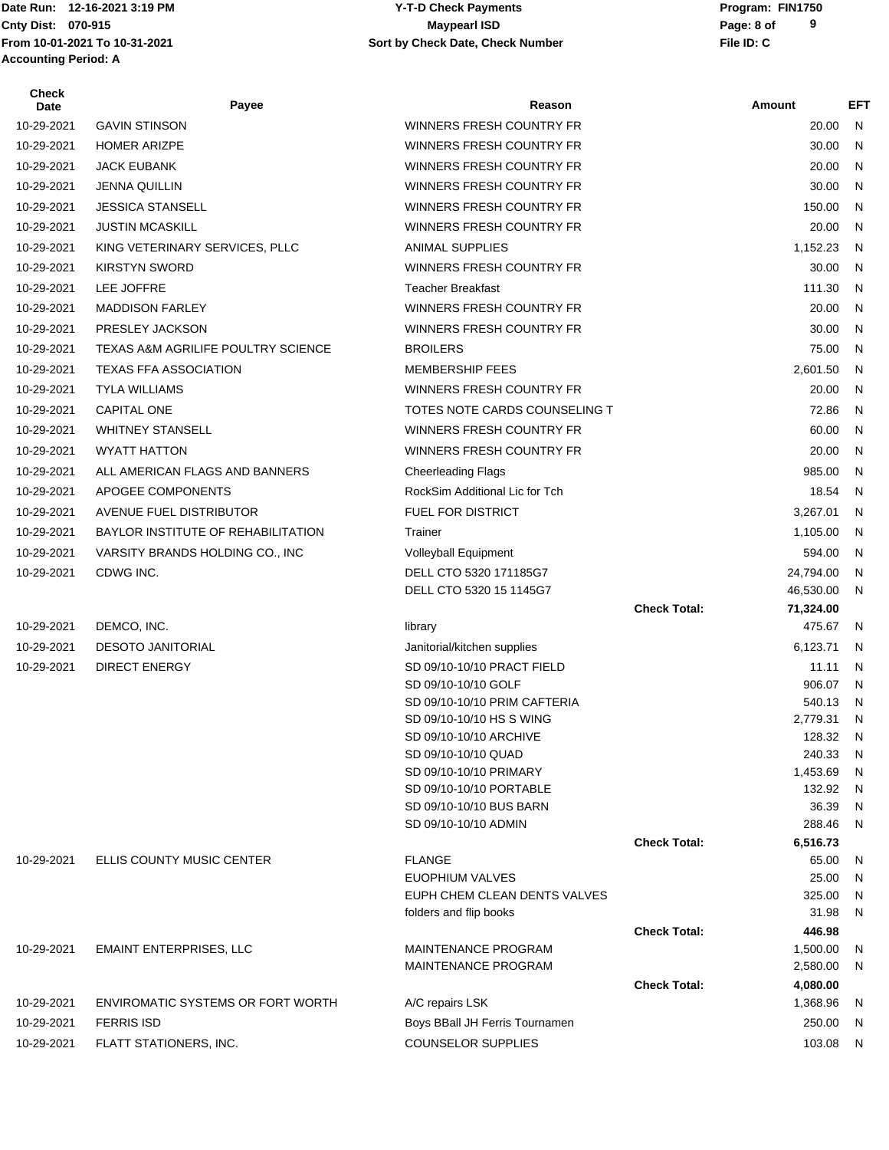**Accounting Period: A**

Date Run: 12-16-2021 3:19 PM **CONTACT CONSTRESS PARAMETER PROGRAM:** Program: FIN1750 **Cnty Dist:** 070-915 **Page: 8 of MaypearI ISD MaypearI ISD From 10-01-2021 To 10-31-2021 File ID: C Sort by Check Date, Check Number 12-16-2021 3:19 PM Y-T-D Check Payments 070-915 Maypearl ISD**

| <b>Check</b><br>Date | Payee                                         | Reason                                                   |                     | Amount               | <b>EFT</b> |
|----------------------|-----------------------------------------------|----------------------------------------------------------|---------------------|----------------------|------------|
| 10-29-2021           | <b>GAVIN STINSON</b>                          | WINNERS FRESH COUNTRY FR                                 |                     | 20.00                | N          |
| 10-29-2021           | <b>HOMER ARIZPE</b>                           | WINNERS FRESH COUNTRY FR                                 |                     | 30.00                | N          |
| 10-29-2021           | <b>JACK EUBANK</b>                            | WINNERS FRESH COUNTRY FR                                 |                     | 20.00                | N          |
| 10-29-2021           | <b>JENNA QUILLIN</b>                          | WINNERS FRESH COUNTRY FR                                 |                     | 30.00                | N          |
| 10-29-2021           | <b>JESSICA STANSELL</b>                       | WINNERS FRESH COUNTRY FR                                 |                     | 150.00               | N          |
| 10-29-2021           | <b>JUSTIN MCASKILL</b>                        | WINNERS FRESH COUNTRY FR                                 |                     | 20.00                | N          |
| 10-29-2021           | KING VETERINARY SERVICES, PLLC                | <b>ANIMAL SUPPLIES</b>                                   |                     | 1,152.23             | N          |
| 10-29-2021           | <b>KIRSTYN SWORD</b>                          | WINNERS FRESH COUNTRY FR                                 |                     | 30.00                | N          |
| 10-29-2021           | LEE JOFFRE                                    | <b>Teacher Breakfast</b>                                 |                     | 111.30               | N          |
| 10-29-2021           | <b>MADDISON FARLEY</b>                        | WINNERS FRESH COUNTRY FR                                 |                     | 20.00                | N          |
| 10-29-2021           | PRESLEY JACKSON                               | WINNERS FRESH COUNTRY FR                                 |                     | 30.00                | N          |
| 10-29-2021           | <b>TEXAS A&amp;M AGRILIFE POULTRY SCIENCE</b> | <b>BROILERS</b>                                          |                     | 75.00                | N          |
| 10-29-2021           | <b>TEXAS FFA ASSOCIATION</b>                  | <b>MEMBERSHIP FEES</b>                                   |                     | 2,601.50             | N          |
| 10-29-2021           | <b>TYLA WILLIAMS</b>                          | WINNERS FRESH COUNTRY FR                                 |                     | 20.00                | N          |
| 10-29-2021           |                                               |                                                          |                     |                      |            |
|                      | <b>CAPITAL ONE</b>                            | TOTES NOTE CARDS COUNSELING T                            |                     | 72.86                | N          |
| 10-29-2021           | <b>WHITNEY STANSELL</b>                       | WINNERS FRESH COUNTRY FR                                 |                     | 60.00                | N          |
| 10-29-2021           | <b>WYATT HATTON</b>                           | WINNERS FRESH COUNTRY FR                                 |                     | 20.00                | N          |
| 10-29-2021           | ALL AMERICAN FLAGS AND BANNERS                | <b>Cheerleading Flags</b>                                |                     | 985.00               | N          |
| 10-29-2021           | APOGEE COMPONENTS                             | RockSim Additional Lic for Tch                           |                     | 18.54                | N          |
| 10-29-2021           | AVENUE FUEL DISTRIBUTOR                       | FUEL FOR DISTRICT                                        |                     | 3,267.01             | N          |
| 10-29-2021           | BAYLOR INSTITUTE OF REHABILITATION            | Trainer                                                  |                     | 1,105.00             | N          |
| 10-29-2021           | VARSITY BRANDS HOLDING CO., INC               | Volleyball Equipment                                     |                     | 594.00               | N          |
| 10-29-2021           | CDWG INC.                                     | DELL CTO 5320 171185G7                                   |                     | 24,794.00            | N          |
|                      |                                               | DELL CTO 5320 15 1145G7                                  | <b>Check Total:</b> | 46,530.00            | N          |
| 10-29-2021           | DEMCO, INC.                                   | library                                                  |                     | 71,324.00<br>475.67  | N          |
| 10-29-2021           | <b>DESOTO JANITORIAL</b>                      | Janitorial/kitchen supplies                              |                     | 6,123.71             | N          |
| 10-29-2021           | <b>DIRECT ENERGY</b>                          | SD 09/10-10/10 PRACT FIELD                               |                     | 11.11                | N          |
|                      |                                               | SD 09/10-10/10 GOLF                                      |                     | 906.07               | N          |
|                      |                                               | SD 09/10-10/10 PRIM CAFTERIA                             |                     | 540.13               | N          |
|                      |                                               | SD 09/10-10/10 HS S WING                                 |                     | 2,779.31             | N          |
|                      |                                               | SD 09/10-10/10 ARCHIVE                                   |                     | 128.32               | N          |
|                      |                                               | SD 09/10-10/10 QUAD                                      |                     | 240.33               | N          |
|                      |                                               | SD 09/10-10/10 PRIMARY                                   |                     | 1,453.69             | N          |
|                      |                                               | SD 09/10-10/10 PORTABLE<br>SD 09/10-10/10 BUS BARN       |                     | 132.92<br>36.39      | N<br>N     |
|                      |                                               | SD 09/10-10/10 ADMIN                                     |                     | 288.46               | N          |
|                      |                                               |                                                          | <b>Check Total:</b> | 6,516.73             |            |
| 10-29-2021           | ELLIS COUNTY MUSIC CENTER                     | <b>FLANGE</b>                                            |                     | 65.00                | N          |
|                      |                                               | <b>EUOPHIUM VALVES</b>                                   |                     | 25.00                | N          |
|                      |                                               | EUPH CHEM CLEAN DENTS VALVES                             |                     | 325.00               | N          |
|                      |                                               | folders and flip books                                   |                     | 31.98                | N          |
|                      |                                               |                                                          | <b>Check Total:</b> | 446.98               |            |
| 10-29-2021           | <b>EMAINT ENTERPRISES, LLC</b>                | <b>MAINTENANCE PROGRAM</b><br><b>MAINTENANCE PROGRAM</b> |                     | 1,500.00<br>2,580.00 | N<br>N     |
|                      |                                               |                                                          | <b>Check Total:</b> | 4,080.00             |            |
| 10-29-2021           | <b>ENVIROMATIC SYSTEMS OR FORT WORTH</b>      | A/C repairs LSK                                          |                     | 1,368.96             | N          |
| 10-29-2021           | <b>FERRIS ISD</b>                             | Boys BBall JH Ferris Tournamen                           |                     | 250.00               | N.         |
| 10-29-2021           | FLATT STATIONERS, INC.                        | <b>COUNSELOR SUPPLIES</b>                                |                     | 103.08 N             |            |